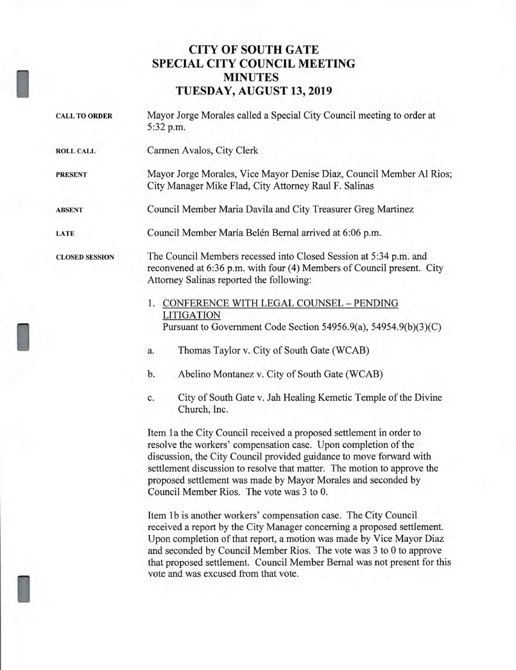## **CITY OF SOUTH GATE SPECIAL CITY COUNCIL MEETING MINUTES TUESDAY, AUGUST 13, 2019**

- **CALL TO ORDER** Mayor Jorge Morales called a Special City Council meeting to order at 5:32 p.m. **ROLL CALL** Carmen Avalos, City Clerk **PRESENT** Mayor Jorge Morales, Vice Mayor Denise Diaz, Council Member Al Rios; City Manager Mike Flad, City Attorney Raul F. Salinas **ABSENT** Council Member Maria Davila and City Treasurer Greg Martinez LATE Council Member María Belén Bernal arrived at 6:06 p.m. **CLOSED SESSION** The Council Members recessed into Closed Session at 5:34 p.m. and reconvened at 6:36 p.m. with four (4) Members of Council present. City Attorney Salinas reported the following: 1. CONFERENCE WITH LEGAL COUNSEL — PENDING LITIGATION Pursuant to Government Code Section 54956.9(a), 54954.9(b)(3)(C)
	- a. Thomas Taylor v. City of South Gate (WCAB)
	- b. Abelino Montanez v. City of South Gate (WCAB)
	- c. City of South Gate v. Jah Healing Kemetic Temple of the Divine Church, Inc.

Item la the City Council received a proposed settlement in order to resolve the workers' compensation case. Upon completion of the discussion, the City Council provided guidance to move forward with settlement discussion to resolve that matter. The motion to approve the proposed settlement was made by Mayor Morales and seconded by Council Member Rios. The vote was 3 to 0.

Item 1b is another workers' compensation case. The City Council received a report by the City Manager concerning a proposed settlement. Upon completion of that report, a motion was made by Vice Mayor Diaz and seconded by Council Member Rios. The vote was 3 to 0 to approve that proposed settlement. Council Member Bernal was not present for this vote and was excused from that vote.